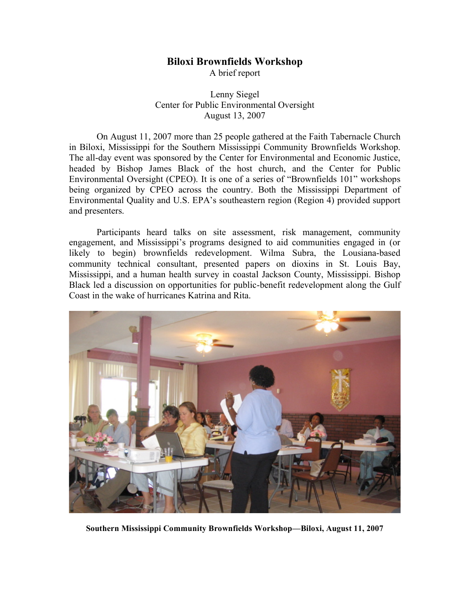## **Biloxi Brownfields Workshop**

A brief report

Lenny Siegel Center for Public Environmental Oversight August 13, 2007

On August 11, 2007 more than 25 people gathered at the Faith Tabernacle Church in Biloxi, Mississippi for the Southern Mississippi Community Brownfields Workshop. The all-day event was sponsored by the Center for Environmental and Economic Justice, headed by Bishop James Black of the host church, and the Center for Public Environmental Oversight (CPEO). It is one of a series of "Brownfields 101" workshops being organized by CPEO across the country. Both the Mississippi Department of Environmental Quality and U.S. EPA's southeastern region (Region 4) provided support and presenters.

Participants heard talks on site assessment, risk management, community engagement, and Mississippi's programs designed to aid communities engaged in (or likely to begin) brownfields redevelopment. Wilma Subra, the Lousiana-based community technical consultant, presented papers on dioxins in St. Louis Bay, Mississippi, and a human health survey in coastal Jackson County, Mississippi. Bishop Black led a discussion on opportunities for public-benefit redevelopment along the Gulf Coast in the wake of hurricanes Katrina and Rita.



**Southern Mississippi Community Brownfields Workshop—Biloxi, August 11, 2007**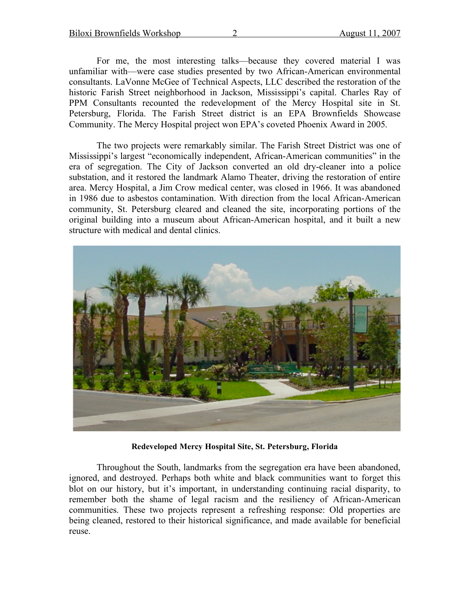For me, the most interesting talks—because they covered material I was unfamiliar with—were case studies presented by two African-American environmental consultants. LaVonne McGee of Technical Aspects, LLC described the restoration of the historic Farish Street neighborhood in Jackson, Mississippi's capital. Charles Ray of PPM Consultants recounted the redevelopment of the Mercy Hospital site in St. Petersburg, Florida. The Farish Street district is an EPA Brownfields Showcase Community. The Mercy Hospital project won EPA's coveted Phoenix Award in 2005.

The two projects were remarkably similar. The Farish Street District was one of Mississippi's largest "economically independent, African-American communities" in the era of segregation. The City of Jackson converted an old dry-cleaner into a police substation, and it restored the landmark Alamo Theater, driving the restoration of entire area. Mercy Hospital, a Jim Crow medical center, was closed in 1966. It was abandoned in 1986 due to asbestos contamination. With direction from the local African-American community, St. Petersburg cleared and cleaned the site, incorporating portions of the original building into a museum about African-American hospital, and it built a new structure with medical and dental clinics.



**Redeveloped Mercy Hospital Site, St. Petersburg, Florida**

Throughout the South, landmarks from the segregation era have been abandoned, ignored, and destroyed. Perhaps both white and black communities want to forget this blot on our history, but it's important, in understanding continuing racial disparity, to remember both the shame of legal racism and the resiliency of African-American communities. These two projects represent a refreshing response: Old properties are being cleaned, restored to their historical significance, and made available for beneficial reuse.